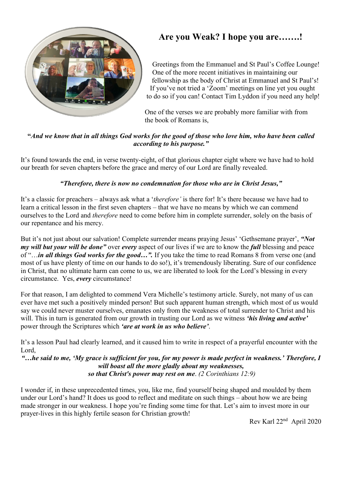

## **Are you Weak? I hope you are…….!**

Greetings from the Emmanuel and St Paul's Coffee Lounge! One of the more recent initiatives in maintaining our fellowship as the body of Christ at Emmanuel and St Paul's! If you've not tried a 'Zoom' meetings on line yet you ought to do so if you can! Contact Tim Lyddon if you need any help!

One of the verses we are probably more familiar with from the book of Romans is,

#### **"***And we know that in all things God works for the good of those who love him, who have been called according to his purpose."*

It's found towards the end, in verse twenty-eight, of that glorious chapter eight where we have had to hold our breath for seven chapters before the grace and mercy of our Lord are finally revealed.

#### *"Therefore, there is now no condemnation for those who are in Christ Jesus,"*

It's a classic for preachers – always ask what a '*therefore'* is there for! It's there because we have had to learn a critical lesson in the first seven chapters – that we have no means by which we can commend ourselves to the Lord and *therefore* need to come before him in complete surrender, solely on the basis of our repentance and his mercy.

But it's not just about our salvation! Complete surrender means praying Jesus' 'Gethsemane prayer', *"Not my will but your will be done"* over *every* aspect of our lives if we are to know the *full* blessing and peace of "…*in all things God works for the good…".* If you take the time to read Romans 8 from verse one (and most of us have plenty of time on our hands to do so!), it's tremendously liberating. Sure of our confidence in Christ, that no ultimate harm can come to us, we are liberated to look for the Lord's blessing in every circumstance. Yes, *every* circumstance!

For that reason, I am delighted to commend Vera Michelle's testimony article. Surely, not many of us can ever have met such a positively minded person! But such apparent human strength, which most of us would say we could never muster ourselves, emanates only from the weakness of total surrender to Christ and his will. This in turn is generated from our growth in trusting our Lord as we witness *'his living and active'* power through the Scriptures which *'are at work in us who believe'*.

It's a lesson Paul had clearly learned, and it caused him to write in respect of a prayerful encounter with the Lord,

*"…he said to me, 'My grace is sufficient for you, for my power is made perfect in weakness.' Therefore, I will boast all the more gladly about my weaknesses, so that Christ's power may rest on me*. *(2 Corinthians 12:9)*

I wonder if, in these unprecedented times, you, like me, find yourself being shaped and moulded by them under our Lord's hand? It does us good to reflect and meditate on such things – about how we are being made stronger in our weakness. I hope you're finding some time for that. Let's aim to invest more in our prayer-lives in this highly fertile season for Christian growth!

Rev Karl 22nd April 2020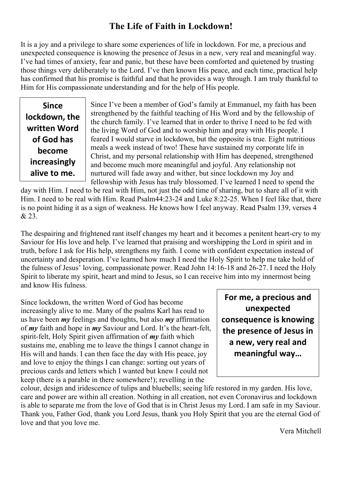### **The Life of Faith in Lockdown!**

It is a joy and a privilege to share some experiences of life in lockdown. For me, a precious and unexpected consequence is knowing the presence of Jesus in a new, very real and meaningful way. I've had times of anxiety, fear and panic, but these have been comforted and quietened by trusting those things very deliberately to the Lord. I've then known His peace, and each time, practical help has confirmed that his promise is faithful and that he provides a way through. I am truly thankful to Him for His compassionate understanding and for the help of His people.

**Since lockdown, the written Word of God has become increasingly alive to me.**

Since I've been a member of God's family at Emmanuel, my faith has been strengthened by the faithful teaching of His Word and by the fellowship of the church family. I've learned that in order to thrive I need to be fed with the living Word of God and to worship him and pray with His people. I feared I would starve in lockdown, but the opposite is true. Eight nutritious meals a week instead of two! These have sustained my corporate life in Christ, and my personal relationship with Him has deepened, strengthened and become much more meaningful and joyful. Any relationship not nurtured will fade away and wither, but since lockdown my Joy and fellowship with Jesus has truly blossomed. I've learned I need to spend the

day with Him. I need to be real with Him, not just the odd time of sharing, but to share all of it with Him. I need to be real with Him. Read Psalm44:23-24 and Luke 8:22-25. When I feel like that, there is no point hiding it as a sign of weakness. He knows how I feel anyway. Read Psalm 139, verses 4 & 23.

The despairing and frightened rant itself changes my heart and it becomes a penitent heart-cry to my Saviour for His love and help. I've learned that praising and worshipping the Lord in spirit and in truth, before I ask for His help, strengthens my faith. I come with confident expectation instead of uncertainty and desperation. I've learned how much I need the Holy Spirit to help me take hold of the fulness of Jesus' loving, compassionate power. Read John 14:16-18 and 26-27. I need the Holy Spirit to liberate my spirit, heart and mind to Jesus, so I can receive him into my innermost being and know His fulness.

Since lockdown, the written Word of God has become increasingly alive to me. Many of the psalms Karl has read to us have been *my* feelings and thoughts, but also *my* affirmation of *my* faith and hope in *my* Saviour and Lord. It's the heart-felt, spirit-felt, Holy Spirit given affirmation of *my* faith which sustains me, enabling me to leave the things I cannot change in His will and hands. I can then face the day with His peace, joy and love to enjoy the things I can change: sorting out years of precious cards and letters which I wanted but knew I could not keep (there is a parable in there somewhere!); revelling in the

**For me, a precious and unexpected consequence is knowing the presence of Jesus in a new, very real and meaningful way…**

colour, design and iridescence of tulips and bluebells; seeing life restored in my garden. His love, care and power are within all creation. Nothing in all creation, not even Coronavirus and lockdown is able to separate me from the love of God that is in Christ Jesus my Lord. I am safe in my Saviour. Thank you, Father God, thank you Lord Jesus, thank you Holy Spirit that you are the eternal God of love and that you love me.

Vera Mitchell